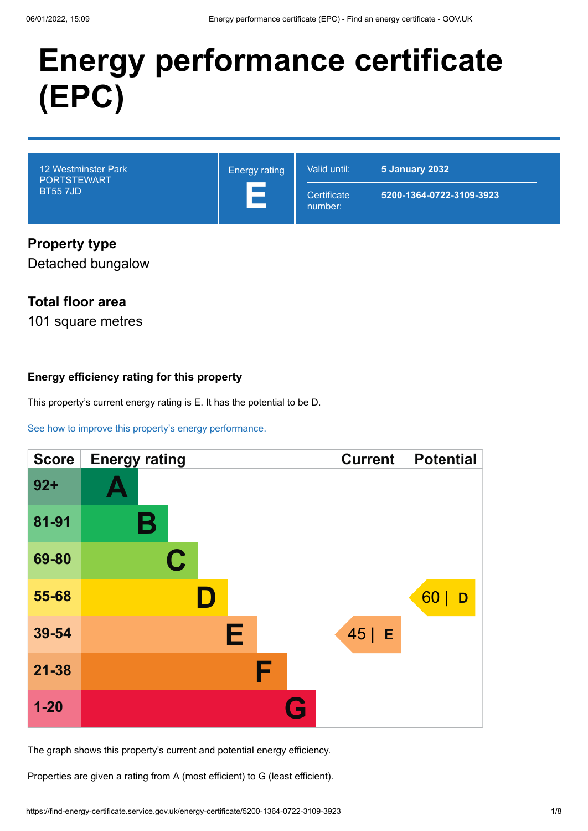# **Energy performance certificate (EPC)**



# **Property type**

Detached bungalow

# **Total floor area**

101 square metres

## **Energy efficiency rating for this property**

This property's current energy rating is E. It has the potential to be D.

### [See how to improve this property's energy performance.](#page-3-0)

| <b>Score</b> | <b>Energy rating</b> | <b>Current</b> | <b>Potential</b> |
|--------------|----------------------|----------------|------------------|
| $92 +$       |                      |                |                  |
| 81-91        | В                    |                |                  |
| 69-80        | $\mathbf C$          |                |                  |
| 55-68        |                      |                | 60<br>D          |
| 39-54        | Е                    | $45$   E       |                  |
| $21 - 38$    | F                    |                |                  |
| $1 - 20$     | G                    |                |                  |

The graph shows this property's current and potential energy efficiency.

Properties are given a rating from A (most efficient) to G (least efficient).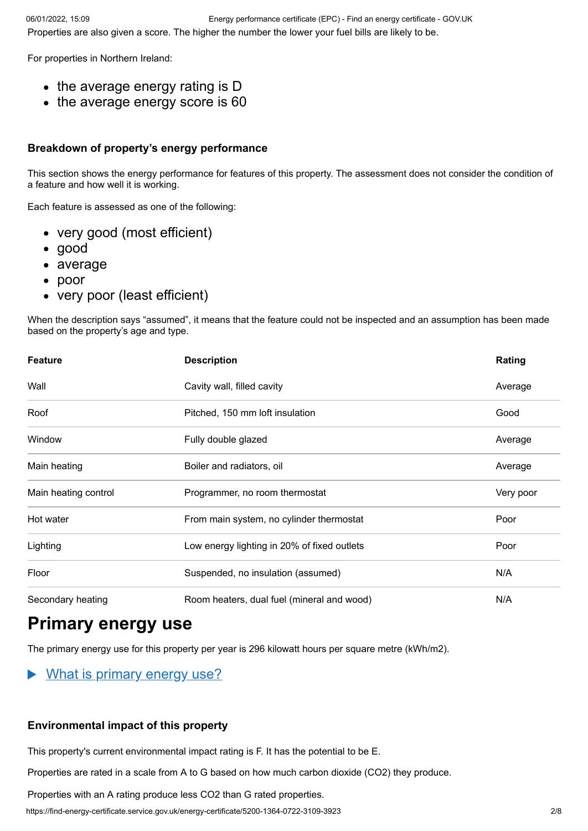For properties in Northern Ireland:

- the average energy rating is D
- the average energy score is 60

### **Breakdown of property's energy performance**

This section shows the energy performance for features of this property. The assessment does not consider the condition of a feature and how well it is working.

Each feature is assessed as one of the following:

- very good (most efficient)
- good
- average
- poor
- very poor (least efficient)

When the description says "assumed", it means that the feature could not be inspected and an assumption has been made based on the property's age and type.

| <b>Feature</b>       | <b>Description</b>                          | Rating    |  |  |
|----------------------|---------------------------------------------|-----------|--|--|
| Wall                 | Cavity wall, filled cavity                  | Average   |  |  |
| Roof                 | Pitched, 150 mm loft insulation             | Good      |  |  |
| Window               | Fully double glazed                         | Average   |  |  |
| Main heating         | Boiler and radiators, oil                   |           |  |  |
| Main heating control | Programmer, no room thermostat              | Very poor |  |  |
| Hot water            | From main system, no cylinder thermostat    | Poor      |  |  |
| Lighting             | Low energy lighting in 20% of fixed outlets | Poor      |  |  |
| Floor                | Suspended, no insulation (assumed)          | N/A       |  |  |
| Secondary heating    | Room heaters, dual fuel (mineral and wood)  |           |  |  |

# **Primary energy use**

The primary energy use for this property per year is 296 kilowatt hours per square metre (kWh/m2).

#### $\blacktriangleright$ What is primary energy use?

### **Environmental impact of this property**

This property's current environmental impact rating is F. It has the potential to be E.

Properties are rated in a scale from A to G based on how much carbon dioxide (CO2) they produce.

Properties with an A rating produce less CO2 than G rated properties.

https://find-energy-certificate.service.gov.uk/energy-certificate/5200-1364-0722-3109-3923 2/8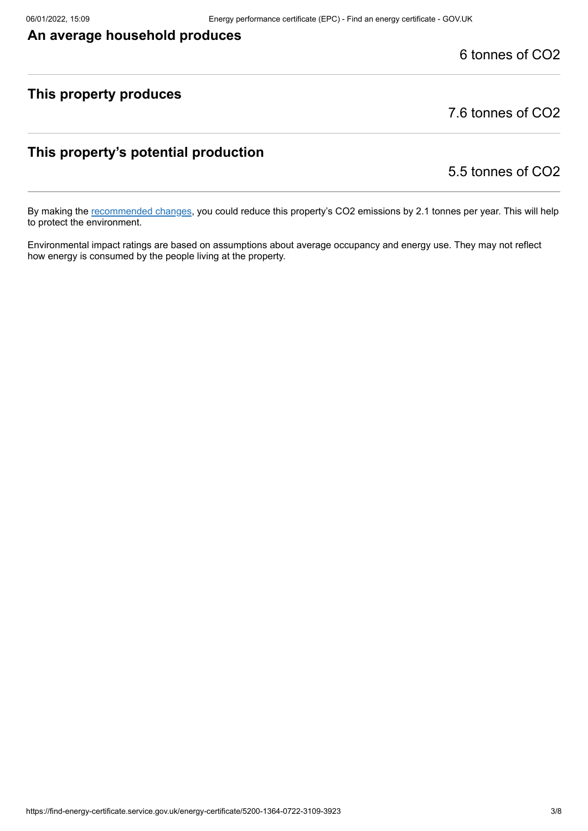# **An average household produces**

6 tonnes of CO2

# **This property produces**

7.6 tonnes of CO2

# **This property's potential production**

5.5 tonnes of CO2

By making the [recommended changes](#page-3-0), you could reduce this property's CO2 emissions by 2.1 tonnes per year. This will help to protect the environment.

Environmental impact ratings are based on assumptions about average occupancy and energy use. They may not reflect how energy is consumed by the people living at the property.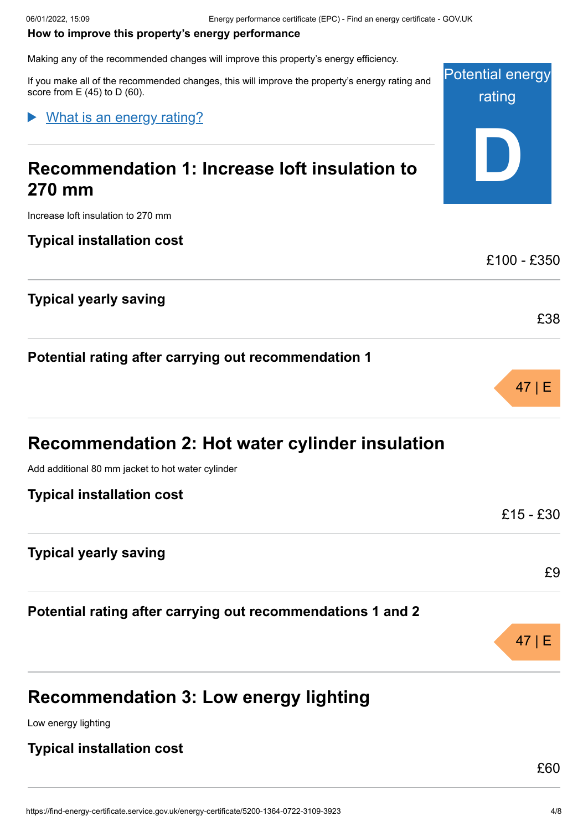Potential energy

rating

**D**

£100 - £350

£38

47 | E

#### <span id="page-3-0"></span>**How to improve this property's energy performance**

Making any of the recommended changes will improve this property's energy efficiency.

If you make all of the recommended changes, this will improve the property's energy rating and score from  $E(45)$  to D (60).

What is an energy rating?

# **Recommendation 1: Increase loft insulation to 270 mm**

Increase loft insulation to 270 mm

**Typical installation cost**

**Typical yearly saving**

**Potential rating after carrying out recommendation 1**

| Recommendation 2: Hot water cylinder insulation             |           |
|-------------------------------------------------------------|-----------|
| Add additional 80 mm jacket to hot water cylinder           |           |
| <b>Typical installation cost</b>                            |           |
|                                                             | £15 - £30 |
| <b>Typical yearly saving</b>                                |           |
|                                                             | £9        |
| Potential rating after carrying out recommendations 1 and 2 |           |
|                                                             |           |

# **Recommendation 3: Low energy lighting**

Low energy lighting

## **Typical installation cost**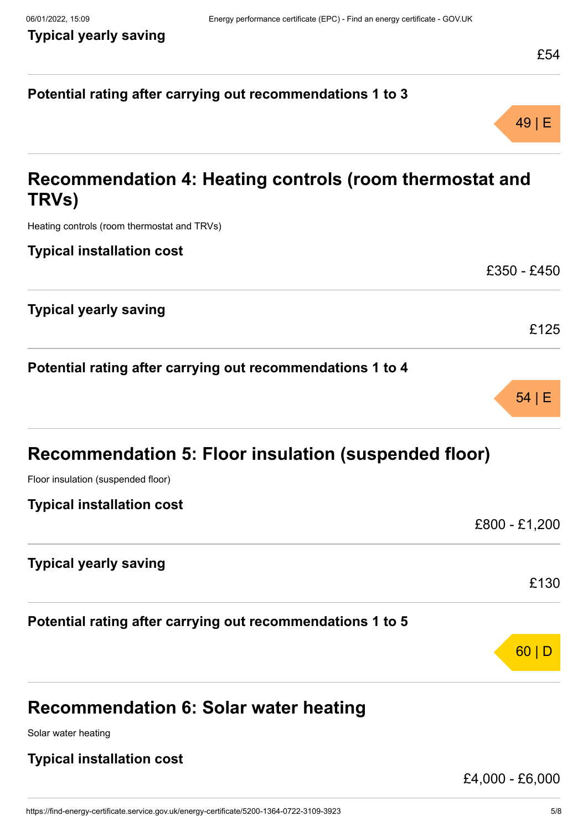49 | E

£350 - £450

£125

54 | E

# **Potential rating after carrying out recommendations 1 to 3**

# **Recommendation 4: Heating controls (room thermostat and TRVs)**

Heating controls (room thermostat and TRVs)

**Typical installation cost**

| <b>Typical yearly saving</b> |  |  |
|------------------------------|--|--|

|  |  |  |  | Potential rating after carrying out recommendations 1 to 4 |  |  |  |
|--|--|--|--|------------------------------------------------------------|--|--|--|
|--|--|--|--|------------------------------------------------------------|--|--|--|

| <b>Recommendation 5: Floor insulation (suspended floor)</b> |  |  |  |
|-------------------------------------------------------------|--|--|--|

Floor insulation (suspended floor)

## **Typical installation cost**

|                                                            | £800 - £1,200 |
|------------------------------------------------------------|---------------|
| <b>Typical yearly saving</b>                               |               |
|                                                            | £130          |
| Potential rating after carrying out recommendations 1 to 5 |               |
|                                                            |               |

# **Recommendation 6: Solar water heating**

Solar water heating

# **Typical installation cost**

£4,000 - £6,000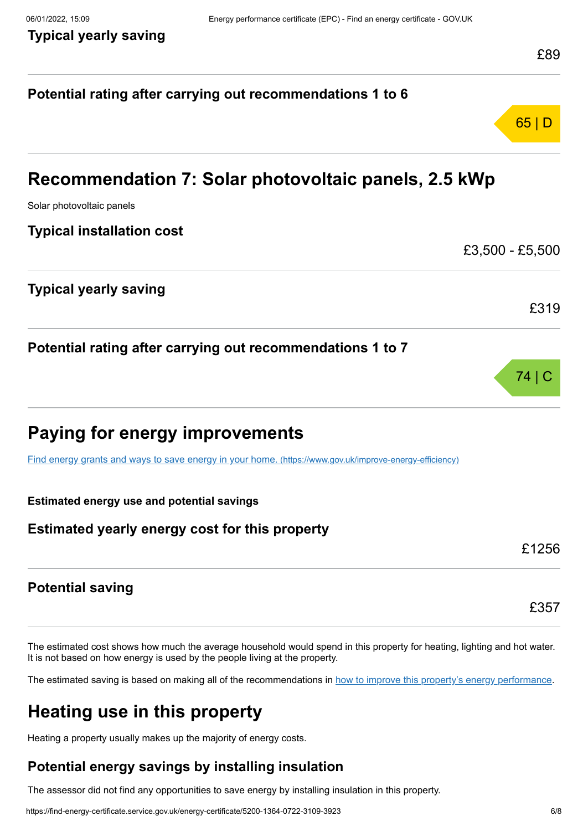# **Potential rating after carrying out recommendations 1 to 6** 65 | D **Recommendation 7: Solar photovoltaic panels, 2.5 kWp** Solar photovoltaic panels **Typical installation cost** £3,500 - £5,500 **Typical yearly saving** £319 **Potential rating after carrying out recommendations 1 to 7** 74 | C **Paying for energy improvements** [Find energy grants and ways to save energy in your home.](https://www.gov.uk/improve-energy-efficiency) (https://www.gov.uk/improve-energy-efficiency) **Estimated energy use and potential savings Estimated yearly energy cost for this property** £1256 **Potential saving** £357

The estimated cost shows how much the average household would spend in this property for heating, lighting and hot water. It is not based on how energy is used by the people living at the property.

The estimated saving is based on making all of the recommendations in [how to improve this property's energy performance.](#page-3-0)

# **Heating use in this property**

Heating a property usually makes up the majority of energy costs.

# **Potential energy savings by installing insulation**

The assessor did not find any opportunities to save energy by installing insulation in this property.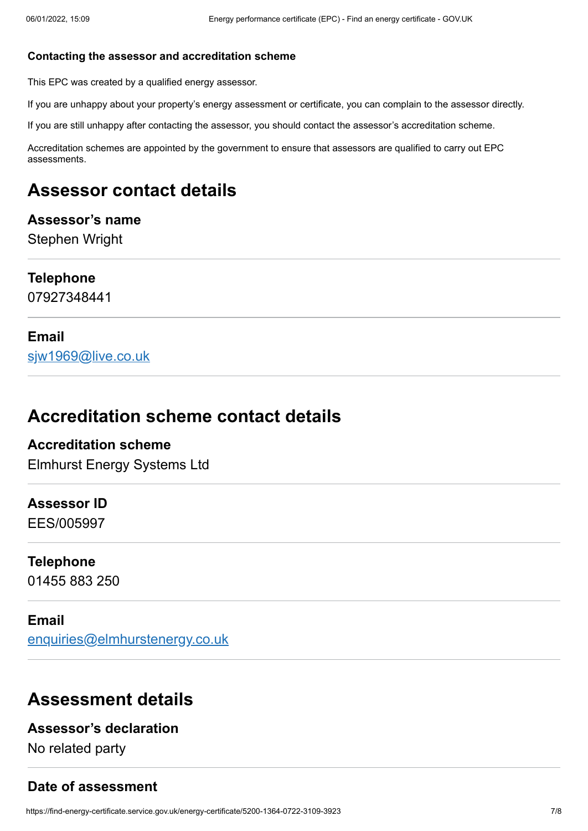### **Contacting the assessor and accreditation scheme**

This EPC was created by a qualified energy assessor.

If you are unhappy about your property's energy assessment or certificate, you can complain to the assessor directly.

If you are still unhappy after contacting the assessor, you should contact the assessor's accreditation scheme.

Accreditation schemes are appointed by the government to ensure that assessors are qualified to carry out EPC assessments.

# **Assessor contact details**

### **Assessor's name**

Stephen Wright

## **Telephone**

07927348441

## **Email**

[sjw1969@live.co.uk](mailto:sjw1969@live.co.uk)

# **Accreditation scheme contact details**

# **Accreditation scheme**

Elmhurst Energy Systems Ltd

### **Assessor ID**

EES/005997

# **Telephone**

01455 883 250

## **Email**

[enquiries@elmhurstenergy.co.uk](mailto:enquiries@elmhurstenergy.co.uk)

# **Assessment details**

## **Assessor's declaration**

No related party

## **Date of assessment**